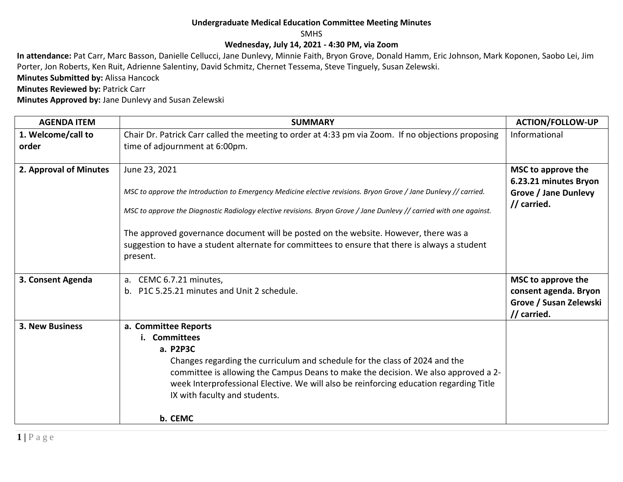## **Undergraduate Medical Education Committee Meeting Minutes**

SMHS

## **Wednesday, July 14, 2021 - 4:30 PM, via Zoom**

**In attendance:** Pat Carr, Marc Basson, Danielle Cellucci, Jane Dunlevy, Minnie Faith, Bryon Grove, Donald Hamm, Eric Johnson, Mark Koponen, Saobo Lei, Jim Porter, Jon Roberts, Ken Ruit, Adrienne Salentiny, David Schmitz, Chernet Tessema, Steve Tinguely, Susan Zelewski.

**Minutes Submitted by:** Alissa Hancock

**Minutes Reviewed by: Patrick Carr** 

**Minutes Approved by:** Jane Dunlevy and Susan Zelewski

| <b>AGENDA ITEM</b>     | <b>SUMMARY</b>                                                                                                      | <b>ACTION/FOLLOW-UP</b>                              |
|------------------------|---------------------------------------------------------------------------------------------------------------------|------------------------------------------------------|
| 1. Welcome/call to     | Chair Dr. Patrick Carr called the meeting to order at 4:33 pm via Zoom. If no objections proposing                  | Informational                                        |
| order                  | time of adjournment at 6:00pm.                                                                                      |                                                      |
|                        |                                                                                                                     |                                                      |
| 2. Approval of Minutes | June 23, 2021                                                                                                       | MSC to approve the                                   |
|                        | MSC to approve the Introduction to Emergency Medicine elective revisions. Bryon Grove / Jane Dunlevy // carried.    | 6.23.21 minutes Bryon<br><b>Grove / Jane Dunlevy</b> |
|                        |                                                                                                                     | // carried.                                          |
|                        | MSC to approve the Diagnostic Radiology elective revisions. Bryon Grove / Jane Dunlevy // carried with one against. |                                                      |
|                        |                                                                                                                     |                                                      |
|                        | The approved governance document will be posted on the website. However, there was a                                |                                                      |
|                        | suggestion to have a student alternate for committees to ensure that there is always a student                      |                                                      |
|                        | present.                                                                                                            |                                                      |
| 3. Consent Agenda      | CEMC 6.7.21 minutes,<br>a.                                                                                          | MSC to approve the                                   |
|                        | b. P1C 5.25.21 minutes and Unit 2 schedule.                                                                         | consent agenda. Bryon                                |
|                        |                                                                                                                     | Grove / Susan Zelewski                               |
|                        |                                                                                                                     | // carried.                                          |
| 3. New Business        | a. Committee Reports                                                                                                |                                                      |
|                        | i. Committees                                                                                                       |                                                      |
|                        | a. P2P3C                                                                                                            |                                                      |
|                        | Changes regarding the curriculum and schedule for the class of 2024 and the                                         |                                                      |
|                        | committee is allowing the Campus Deans to make the decision. We also approved a 2-                                  |                                                      |
|                        | week Interprofessional Elective. We will also be reinforcing education regarding Title                              |                                                      |
|                        | IX with faculty and students.                                                                                       |                                                      |
|                        | b. CEMC                                                                                                             |                                                      |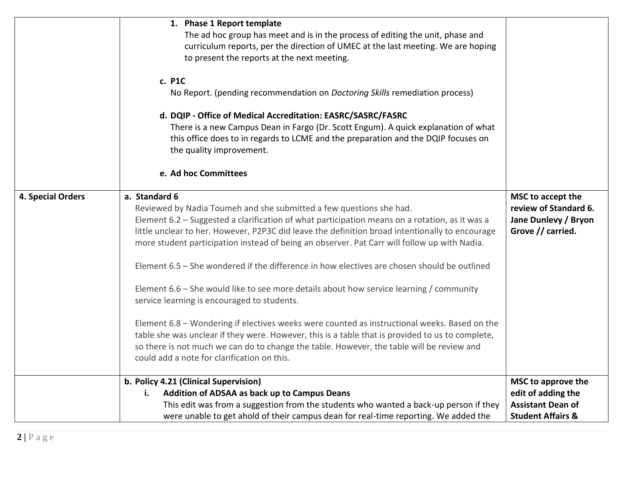|                   | 1. Phase 1 Report template<br>The ad hoc group has meet and is in the process of editing the unit, phase and<br>curriculum reports, per the direction of UMEC at the last meeting. We are hoping<br>to present the reports at the next meeting.                                                                                                                                                                                                                                                                                                                                                                                                                                                                                                                                                                                                                                                                                                                                    |                                                                                         |
|-------------------|------------------------------------------------------------------------------------------------------------------------------------------------------------------------------------------------------------------------------------------------------------------------------------------------------------------------------------------------------------------------------------------------------------------------------------------------------------------------------------------------------------------------------------------------------------------------------------------------------------------------------------------------------------------------------------------------------------------------------------------------------------------------------------------------------------------------------------------------------------------------------------------------------------------------------------------------------------------------------------|-----------------------------------------------------------------------------------------|
|                   | c. P1C<br>No Report. (pending recommendation on Doctoring Skills remediation process)                                                                                                                                                                                                                                                                                                                                                                                                                                                                                                                                                                                                                                                                                                                                                                                                                                                                                              |                                                                                         |
|                   | d. DQIP - Office of Medical Accreditation: EASRC/SASRC/FASRC<br>There is a new Campus Dean in Fargo (Dr. Scott Engum). A quick explanation of what<br>this office does to in regards to LCME and the preparation and the DQIP focuses on<br>the quality improvement.<br>e. Ad hoc Committees                                                                                                                                                                                                                                                                                                                                                                                                                                                                                                                                                                                                                                                                                       |                                                                                         |
|                   |                                                                                                                                                                                                                                                                                                                                                                                                                                                                                                                                                                                                                                                                                                                                                                                                                                                                                                                                                                                    |                                                                                         |
| 4. Special Orders | a. Standard 6<br>Reviewed by Nadia Toumeh and she submitted a few questions she had.<br>Element 6.2 - Suggested a clarification of what participation means on a rotation, as it was a<br>little unclear to her. However, P2P3C did leave the definition broad intentionally to encourage<br>more student participation instead of being an observer. Pat Carr will follow up with Nadia.<br>Element 6.5 - She wondered if the difference in how electives are chosen should be outlined<br>Element 6.6 – She would like to see more details about how service learning / community<br>service learning is encouraged to students.<br>Element 6.8 - Wondering if electives weeks were counted as instructional weeks. Based on the<br>table she was unclear if they were. However, this is a table that is provided to us to complete,<br>so there is not much we can do to change the table. However, the table will be review and<br>could add a note for clarification on this. | MSC to accept the<br>review of Standard 6.<br>Jane Dunlevy / Bryon<br>Grove // carried. |
|                   | b. Policy 4.21 (Clinical Supervision)                                                                                                                                                                                                                                                                                                                                                                                                                                                                                                                                                                                                                                                                                                                                                                                                                                                                                                                                              | MSC to approve the                                                                      |
|                   | Addition of ADSAA as back up to Campus Deans<br>i.<br>This edit was from a suggestion from the students who wanted a back-up person if they                                                                                                                                                                                                                                                                                                                                                                                                                                                                                                                                                                                                                                                                                                                                                                                                                                        | edit of adding the<br><b>Assistant Dean of</b>                                          |
|                   | were unable to get ahold of their campus dean for real-time reporting. We added the                                                                                                                                                                                                                                                                                                                                                                                                                                                                                                                                                                                                                                                                                                                                                                                                                                                                                                | <b>Student Affairs &amp;</b>                                                            |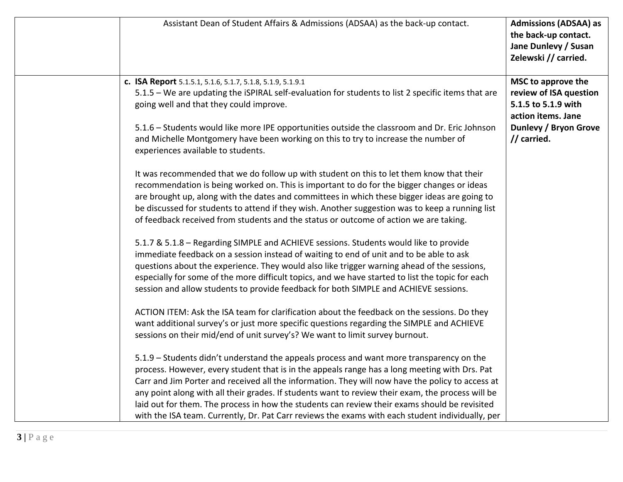| Assistant Dean of Student Affairs & Admissions (ADSAA) as the back-up contact.                                                                                                                                                                                                                                                                                                                                                                                                                                                                                                                          | <b>Admissions (ADSAA) as</b><br>the back-up contact.<br>Jane Dunlevy / Susan<br>Zelewski // carried.                                     |
|---------------------------------------------------------------------------------------------------------------------------------------------------------------------------------------------------------------------------------------------------------------------------------------------------------------------------------------------------------------------------------------------------------------------------------------------------------------------------------------------------------------------------------------------------------------------------------------------------------|------------------------------------------------------------------------------------------------------------------------------------------|
| c. ISA Report 5.1.5.1, 5.1.6, 5.1.7, 5.1.8, 5.1.9, 5.1.9.1<br>5.1.5 - We are updating the iSPIRAL self-evaluation for students to list 2 specific items that are<br>going well and that they could improve.<br>5.1.6 - Students would like more IPE opportunities outside the classroom and Dr. Eric Johnson<br>and Michelle Montgomery have been working on this to try to increase the number of<br>experiences available to students.                                                                                                                                                                | MSC to approve the<br>review of ISA question<br>5.1.5 to 5.1.9 with<br>action items. Jane<br><b>Dunlevy / Bryon Grove</b><br>// carried. |
| It was recommended that we do follow up with student on this to let them know that their<br>recommendation is being worked on. This is important to do for the bigger changes or ideas<br>are brought up, along with the dates and committees in which these bigger ideas are going to<br>be discussed for students to attend if they wish. Another suggestion was to keep a running list<br>of feedback received from students and the status or outcome of action we are taking.                                                                                                                      |                                                                                                                                          |
| 5.1.7 & 5.1.8 - Regarding SIMPLE and ACHIEVE sessions. Students would like to provide<br>immediate feedback on a session instead of waiting to end of unit and to be able to ask<br>questions about the experience. They would also like trigger warning ahead of the sessions,<br>especially for some of the more difficult topics, and we have started to list the topic for each<br>session and allow students to provide feedback for both SIMPLE and ACHIEVE sessions.                                                                                                                             |                                                                                                                                          |
| ACTION ITEM: Ask the ISA team for clarification about the feedback on the sessions. Do they<br>want additional survey's or just more specific questions regarding the SIMPLE and ACHIEVE<br>sessions on their mid/end of unit survey's? We want to limit survey burnout.                                                                                                                                                                                                                                                                                                                                |                                                                                                                                          |
| 5.1.9 - Students didn't understand the appeals process and want more transparency on the<br>process. However, every student that is in the appeals range has a long meeting with Drs. Pat<br>Carr and Jim Porter and received all the information. They will now have the policy to access at<br>any point along with all their grades. If students want to review their exam, the process will be<br>laid out for them. The process in how the students can review their exams should be revisited<br>with the ISA team. Currently, Dr. Pat Carr reviews the exams with each student individually, per |                                                                                                                                          |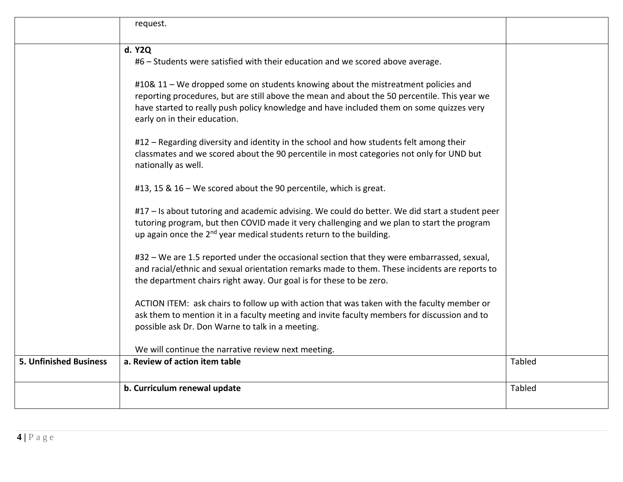|                               | request.                                                                                                                                                                                                                                                                                                      |               |
|-------------------------------|---------------------------------------------------------------------------------------------------------------------------------------------------------------------------------------------------------------------------------------------------------------------------------------------------------------|---------------|
|                               | d. Y2Q<br>#6 - Students were satisfied with their education and we scored above average.                                                                                                                                                                                                                      |               |
|                               | #10& 11 – We dropped some on students knowing about the mistreatment policies and<br>reporting procedures, but are still above the mean and about the 50 percentile. This year we<br>have started to really push policy knowledge and have included them on some quizzes very<br>early on in their education. |               |
|                               | #12 - Regarding diversity and identity in the school and how students felt among their<br>classmates and we scored about the 90 percentile in most categories not only for UND but<br>nationally as well.                                                                                                     |               |
|                               | #13, 15 & 16 – We scored about the 90 percentile, which is great.                                                                                                                                                                                                                                             |               |
|                               | #17 - Is about tutoring and academic advising. We could do better. We did start a student peer<br>tutoring program, but then COVID made it very challenging and we plan to start the program<br>up again once the 2 <sup>nd</sup> year medical students return to the building.                               |               |
|                               | #32 – We are 1.5 reported under the occasional section that they were embarrassed, sexual,<br>and racial/ethnic and sexual orientation remarks made to them. These incidents are reports to<br>the department chairs right away. Our goal is for these to be zero.                                            |               |
|                               | ACTION ITEM: ask chairs to follow up with action that was taken with the faculty member or<br>ask them to mention it in a faculty meeting and invite faculty members for discussion and to<br>possible ask Dr. Don Warne to talk in a meeting.                                                                |               |
|                               | We will continue the narrative review next meeting.                                                                                                                                                                                                                                                           |               |
| <b>5. Unfinished Business</b> | a. Review of action item table                                                                                                                                                                                                                                                                                | <b>Tabled</b> |
|                               | b. Curriculum renewal update                                                                                                                                                                                                                                                                                  | <b>Tabled</b> |